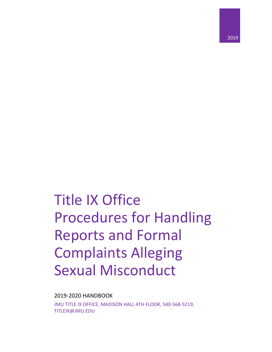2019-2020 HANDBOOK

JMU TITLE IX OFFICE, MADISON HALL 4TH FLOOR, 540-568-5219, TITLEIX@JMU.EDU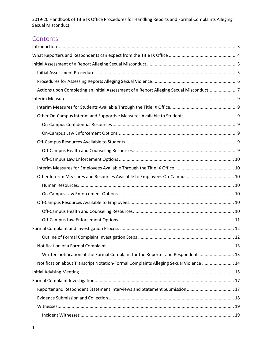# Contents

| Actions upon Completing an Initial Assessment of a Report Alleging Sexual Misconduct7 |  |
|---------------------------------------------------------------------------------------|--|
|                                                                                       |  |
|                                                                                       |  |
|                                                                                       |  |
|                                                                                       |  |
|                                                                                       |  |
|                                                                                       |  |
|                                                                                       |  |
|                                                                                       |  |
|                                                                                       |  |
| Other Interim Measures and Resources Available to Employees On-Campus 10              |  |
|                                                                                       |  |
|                                                                                       |  |
|                                                                                       |  |
|                                                                                       |  |
|                                                                                       |  |
|                                                                                       |  |
|                                                                                       |  |
|                                                                                       |  |
| Written notification of the Formal Complaint for the Reporter and Respondent 13       |  |
| Notification about Transcript Notation-Formal Complaints Alleging Sexual Violence  14 |  |
|                                                                                       |  |
|                                                                                       |  |
|                                                                                       |  |
|                                                                                       |  |
|                                                                                       |  |
|                                                                                       |  |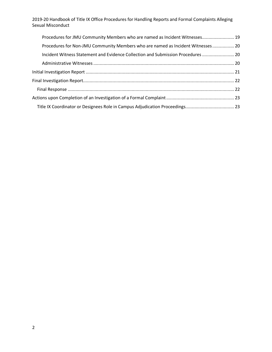| Procedures for JMU Community Members who are named as Incident Witnesses 19      |  |
|----------------------------------------------------------------------------------|--|
| Procedures for Non-JMU Community Members who are named as Incident Witnesses 20  |  |
| Incident Witness Statement and Evidence Collection and Submission Procedures  20 |  |
|                                                                                  |  |
|                                                                                  |  |
|                                                                                  |  |
|                                                                                  |  |
|                                                                                  |  |
| Title IX Coordinator or Designees Role in Campus Adjudication Proceedings 23     |  |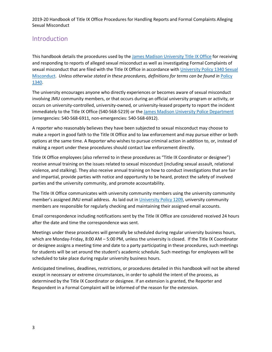## Introduction

This handbook details the procedures used by the James Madison University Title IX Office for receiving and responding to reports of alleged sexual misconduct as well as investigating Formal Complaints of sexual misconduct that are filed with the Title IX Office in accordance with University Policy 1340 Sexual Misconduct. *Unless otherwise stated in these procedures, definitions for terms can be found in* Policy 1340.

The university encourages anyone who directly experiences or becomes aware of sexual misconduct involving JMU community members, or that occurs during an official university program or activity, or occurs on university-controlled, university-owned, or university-leased property to report the incident immediately to the Title IX Office (540-568-5219) or the James Madison University Police Department (emergencies: 540-568-6911, non-emergencies: 540-568-6912).

A reporter who reasonably believes they have been subjected to sexual misconduct may choose to make a report in good faith to the Title IX Office and to law enforcement and may pursue either or both options at the same time. A Reporter who wishes to pursue criminal action in addition to, or, instead of making a report under these procedures should contact law enforcement directly.

Title IX Office employees (also referred to in these procedures as "Title IX Coordinator or designee") receive annual training on the issues related to sexual misconduct (including sexual assault, relational violence, and stalking). They also receive annual training on how to conduct investigations that are fair and impartial, provide parties with notice and opportunity to be heard, protect the safety of involved parties and the university community, and promote accountability.

The Title IX Office communicates with university community members using the university community member's assigned JMU email address. As laid out in University Policy 1209, university community members are responsible for regularly checking and maintaining their assigned email accounts.

Email correspondence including notifications sent by the Title IX Office are considered received 24 hours after the date and time the correspondence was sent.

Meetings under these procedures will generally be scheduled during regular university business hours, which are Monday-Friday, 8:00 AM – 5:00 PM, unless the university is closed. If the Title IX Coordinator or designee assigns a meeting time and date to a party participating in these procedures, such meetings for students will be set around the student's academic schedule. Such meetings for employees will be scheduled to take place during regular university business hours.

Anticipated timelines, deadlines, restrictions, or procedures detailed in this handbook will not be altered except in necessary or extreme circumstances, in order to uphold the intent of the process, as determined by the Title IX Coordinator or designee. If an extension is granted, the Reporter and Respondent in a Formal Complaint will be informed of the reason for the extension.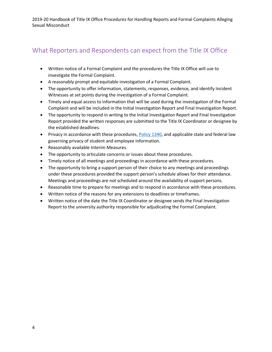# What Reporters and Respondents can expect from the Title IX Office

- Written notice of a Formal Complaint and the procedures the Title IX Office will use to investigate the Formal Complaint.
- A reasonably prompt and equitable investigation of a Formal Complaint.
- The opportunity to offer information, statements, responses, evidence, and identify Incident Witnesses at set points during the investigation of a Formal Complaint.
- Timely and equal access to information that will be used during the investigation of the Formal Complaint and will be included in the Initial Investigation Report and Final Investigation Report.
- The opportunity to respond in writing to the Initial Investigation Report and Final Investigation Report provided the written responses are submitted to the Title IX Coordinator or designee by the established deadlines.
- Privacy in accordance with these procedures, Policy 1340, and applicable state and federal law governing privacy of student and employee information.
- Reasonably available Interim Measures.
- The opportunity to articulate concerns or issues about these procedures.
- Timely notice of all meetings and proceedings in accordance with these procedures.
- The opportunity to bring a support person of their choice to any meetings and proceedings under these procedures provided the support person's schedule allows for their attendance. Meetings and proceedings are not scheduled around the availability of support persons.
- Reasonable time to prepare for meetings and to respond in accordance with these procedures.
- Written notice of the reasons for any extensions to deadlines or timeframes.
- Written notice of the date the Title IX Coordinator or designee sends the Final Investigation Report to the university authority responsible for adjudicating the Formal Complaint.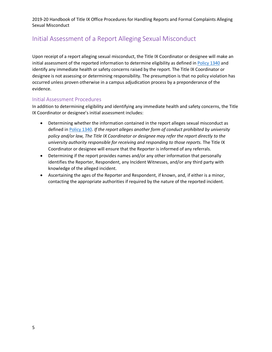# Initial Assessment of a Report Alleging Sexual Misconduct

Upon receipt of a report alleging sexual misconduct, the Title IX Coordinator or designee will make an initial assessment of the reported information to determine eligibility as defined in Policy 1340 and identify any immediate health or safety concerns raised by the report. The Title IX Coordinator or designee is not assessing or determining responsibility. The presumption is that no policy violation has occurred unless proven otherwise in a campus adjudication process by a preponderance of the evidence.

#### Initial Assessment Procedures

In addition to determining eligibility and identifying any immediate health and safety concerns, the Title IX Coordinator or designee's initial assessment includes:

- Determining whether the information contained in the report alleges sexual misconduct as defined in Policy 1340. *If the report alleges another form of conduct prohibited by university policy and/or law, The Title IX Coordinator or designee may refer the report directly to the university authority responsible for receiving and responding to those reports.* The Title IX Coordinator or designee will ensure that the Reporter is informed of any referrals.
- Determining if the report provides names and/or any other information that personally identifies the Reporter, Respondent, any Incident Witnesses, and/or any third party with knowledge of the alleged incident.
- Ascertaining the ages of the Reporter and Respondent, if known, and, if either is a minor, contacting the appropriate authorities if required by the nature of the reported incident.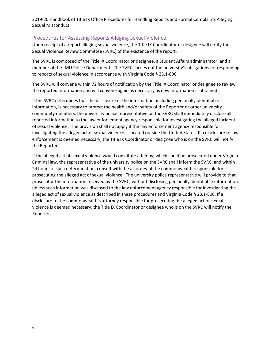#### Procedures for Assessing Reports Alleging Sexual Violence

Upon receipt of a report alleging sexual violence, the Title IX Coordinator or designee will notify the Sexual Violence Review Committee (SVRC) of the existence of the report.

The SVRC is composed of the Title IX Coordinator or designee, a Student Affairs administrator, and a member of the JMU Police Department. The SVRC carries out the university's obligations for responding to reports of sexual violence in accordance with Virginia Code § 23.1-806.

The SVRC will convene within 72 hours of notification by the Title IX Coordinator or designee to review the reported information and will convene again as necessary as new information is obtained.

If the SVRC determines that the disclosure of the information, including personally identifiable information, is necessary to protect the health and/or safety of the Reporter or other university community members, the university police representative on the SVRC shall immediately disclose all reported information to the law enforcement agency responsible for investigating the alleged incident of sexual violence. The provision shall not apply if the law enforcement agency responsible for investigating the alleged act of sexual violence is located outside the United States. If a disclosure to law enforcement is deemed necessary, the Title IX Coordinator or designee who is on the SVRC will notify the Reporter.

If the alleged act of sexual violence would constitute a felony, which could be prosecuted under Virginia Criminal law, the representative of the university police on the SVRC shall inform the SVRC, and within 24 hours of such determination, consult with the attorney of the commonwealth responsible for prosecuting the alleged act of sexual violence. The university police representative will provide to that prosecutor the information received by the SVRC, without disclosing personally identifiable information, unless such information was disclosed to the law enforcement agency responsible for investigating the alleged act of sexual violence as described in these procedures and Virginia Code § 23.1-806. If a disclosure to the commonwealth's attorney responsible for prosecuting the alleged act of sexual violence is deemed necessary, the Title IX Coordinator or designee who is on the SVRC will notify the Reporter.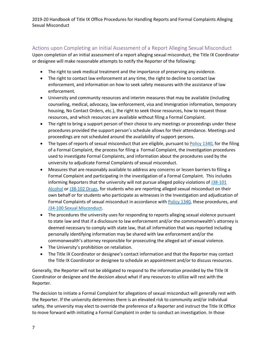## Actions upon Completing an Initial Assessment of a Report Alleging Sexual Misconduct

Upon completion of an initial assessment of a report alleging sexual misconduct, the Title IX Coordinator or designee will make reasonable attempts to notify the Reporter of the following:

- The right to seek medical treatment and the importance of preserving any evidence.
- The right to contact law enforcement at any time, the right to decline to contact law enforcement, and information on how to seek safety measures with the assistance of law enforcement.
- University and community resources and interim measures that may be available (including counseling, medical, advocacy, law enforcement, visa and Immigration information, temporary housing, No Contact Orders, etc.), the right to seek those resources, how to request those resources, and which resources are available without filing a Formal Complaint.
- The right to bring a support person of their choice to any meetings or proceedings under these procedures provided the support person's schedule allows for their attendance. Meetings and proceedings are not scheduled around the availability of support persons.
- The types of reports of sexual misconduct that are eligible, pursuant to Policy 1340, for the filing of a Formal Complaint, the process for filing a Formal Complaint, the investigation procedures used to investigate Formal Complaints, and information about the procedures used by the university to adjudicate Formal Complaints of sexual misconduct.
- Measures that are reasonably available to address any concerns or lessen barriers to filing a Formal Complaint and participating in the investigation of a Formal Complaint. This includes informing Reporters that the university will not pursue alleged policy violations of J38-101 Alcohol or J38-102 Drugs, for students who are reporting alleged sexual misconduct on their own behalf or for students who participate as witnesses in the Investigation and adjudication of Formal Complaints of sexual misconduct in accordance with Policy 1340, these procedures, and J34-100 Sexual Misconduct.
- The procedures the university uses for responding to reports alleging sexual violence pursuant to state law and that if a disclosure to law enforcement and/or the commonwealth's attorney is deemed necessary to comply with state law, that all information that was reported including personally identifying information may be shared with law enforcement and/or the commonwealth's attorney responsible for prosecuting the alleged act of sexual violence.
- The University's prohibition on retaliation.
- The Title IX Coordinator or designee's contact information and that the Reporter may contact the Title IX Coordinator or designee to schedule an appointment and/or to discuss resources.

Generally, the Reporter will not be obligated to respond to the information provided by the Title IX Coordinator or designee and the decision about what if any resources to utilize will rest with the Reporter.

The decision to initiate a Formal Complaint for allegations of sexual misconduct will generally rest with the Reporter. If the university determines there is an elevated risk to community and/or individual safety, the university may elect to override the preference of a Reporter and instruct the Title IX Office to move forward with initiating a Formal Complaint in order to conduct an investigation. In those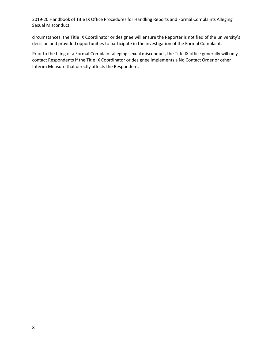circumstances, the Title IX Coordinator or designee will ensure the Reporter is notified of the university's decision and provided opportunities to participate in the investigation of the Formal Complaint.

Prior to the filing of a Formal Complaint alleging sexual misconduct, the Title IX office generally will only contact Respondents if the Title IX Coordinator or designee implements a No Contact Order or other Interim Measure that directly affects the Respondent.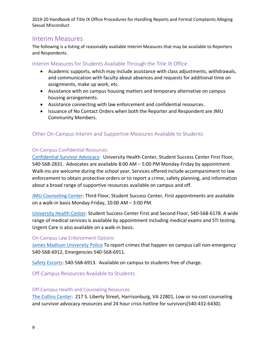## Interim Measures

The following is a listing of reasonably available Interim Measures that may be available to Reporters and Respondents.

## Interim Measures for Students Available Through the Title IX Office

- Academic supports, which may include assistance with class adjustments, withdrawals, and communication with faculty about absences and requests for additional time on assignments, make up work, etc.
- Assistance with on campus housing matters and temporary alternative on campus housing arrangements.
- Assistance connecting with law enforcement and confidential resources.
- Issuance of No Contact Orders when both the Reporter and Respondent are JMU Community Members.

## Other On-Campus Interim and Supportive Measures Available to Students

### On-Campus Confidential Resources

Confidential Survivor Advocacy: University Health Center, Student Success Center First Floor, 540-568-2831. Advocates are available 8:00 AM – 5:00 PM Monday-Friday by appointment. Walk-ins are welcome during the school year. Services offered include accompaniment to law enforcement to obtain protective orders or to report a crime, safety planning, and information about a broad range of supportive resources available on campus and off.

JMU Counseling Center: Third Floor, Student Success Center, First appointments are available on a walk-in basis Monday-Friday, 10:00 AM – 3:00 PM.

University Health Center: Student Success Center First and Second Floor, 540-568-6178. A wide range of medical services is available by appointment including medical exams and STI testing. Urgent Care is also available on a walk-in basis.

#### On-Campus Law Enforcement Options

James Madison University Police To report crimes that happen on campus call non-emergency 540-568-6912, Emergencies 540-568-6911.

Safety Escorts: 540-568-6913. Available on campus to students free of charge.

Off-Campus Resources Available to Students

#### Off-Campus Health and Counseling Resources

The Collins Center: 217 S. Liberty Street, Harrisonburg, VA 22801, Low or no-cost counseling and survivor advocacy resources and 24 hour crisis hotline for survivors(540-432-6430).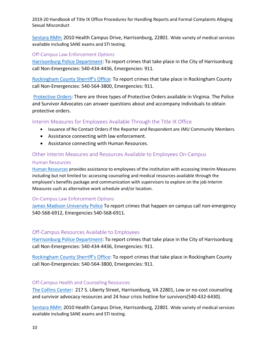Sentara RMH: 2010 Health Campus Drive, Harrisonburg, 22801. Wide variety of medical services available including SANE exams and STI testing.

#### Off-Campus Law Enforcement Options

Harrisonburg Police Department: To report crimes that take place in the City of Harrisonburg call Non-Emergencies: 540-434-4436, Emergencies: 911.

Rockingham County Sherriff's Office: To report crimes that take place in Rockingham County call Non-Emergencies: 540-564-3800, Emergencies: 911.

Protective Orders: There are three types of Protective Orders available in Virginia. The Police and Survivor Advocates can answer questions about and accompany individuals to obtain protective orders.

#### Interim Measures for Employees Available Through the Title IX Office

- Issuance of No Contact Orders if the Reporter and Respondent are JMU Community Members.
- Assistance connecting with law enforcement.
- Assistance connecting with Human Resources.

#### Other Interim Measures and Resources Available to Employees On-Campus

#### Human Resources

Human Resources provides assistance to employees of the institution with accessing Interim Measures including but not limited to: accessing counseling and medical resources available through the employee's benefits package and communication with supervisors to explore on the job Interim Measures such as alternative work schedule and/or location.

#### On-Campus Law Enforcement Options

James Madison University Police To report crimes that happen on campus call non-emergency 540-568-6912, Emergencies 540-568-6911.

#### Off-Campus Resources Available to Employees

Harrisonburg Police Department: To report crimes that take place in the City of Harrisonburg call Non-Emergencies: 540-434-4436, Emergencies: 911.

Rockingham County Sherriff's Office: To report crimes that take place in Rockingham County call Non-Emergencies: 540-564-3800, Emergencies: 911.

#### Off-Campus Health and Counseling Resources

The Collins Center: 217 S. Liberty Street, Harrisonburg, VA 22801, Low or no-cost counseling and survivor advocacy resources and 24 hour crisis hotline for survivors(540-432-6430).

Sentara RMH: 2010 Health Campus Drive, Harrisonburg, 22801. Wide variety of medical services available including SANE exams and STI testing.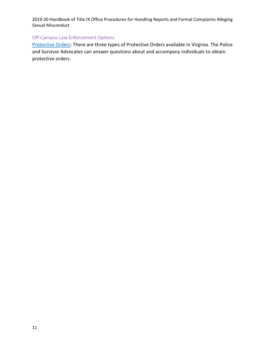## Off-Campus Law Enforcement Options

Protective Orders: There are three types of Protective Orders available in Virginia. The Police and Survivor Advocates can answer questions about and accompany individuals to obtain protective orders.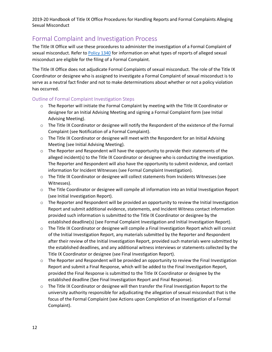# Formal Complaint and Investigation Process

The Title IX Office will use these procedures to administer the investigation of a Formal Complaint of sexual misconduct. Refer to Policy 1340 for information on what types of reports of alleged sexual misconduct are eligible for the filing of a Formal Complaint.

The Title IX Office does not adjudicate Formal Complaints of sexual misconduct. The role of the Title IX Coordinator or designee who is assigned to investigate a Formal Complaint of sexual misconduct is to serve as a neutral fact finder and not to make determinations about whether or not a policy violation has occurred.

#### Outline of Formal Complaint Investigation Steps

- $\circ$  The Reporter will initiate the Formal Complaint by meeting with the Title IX Coordinator or designee for an Initial Advising Meeting and signing a Formal Complaint form (see Initial Advising Meeting).
- $\circ$  The Title IX Coordinator or designee will notify the Respondent of the existence of the Formal Complaint (see Notification of a Formal Complaint).
- $\circ$  The Title IX Coordinator or designee will meet with the Respondent for an Initial Advising Meeting (see Initial Advising Meeting).
- $\circ$  The Reporter and Respondent will have the opportunity to provide their statements of the alleged incident(s) to the Title IX Coordinator or designee who is conducting the investigation. The Reporter and Respondent will also have the opportunity to submit evidence, and contact information for Incident Witnesses (see Formal Complaint Investigation).
- o The Title IX Coordinator or designee will collect statements from Incidents Witnesses (see Witnesses).
- o The Title Coordinator or designee will compile all information into an Initial Investigation Report (see Initial Investigation Report).
- $\circ$  The Reporter and Respondent will be provided an opportunity to review the Initial Investigation Report and submit additional evidence, statements, and Incident Witness contact information provided such information is submitted to the Title IX Coordinator or designee by the established deadline(s) (see Formal Complaint Investigation and Initial Investigation Report).
- $\circ$  The Title IX Coordinator or designee will compile a Final Investigation Report which will consist of the Initial Investigation Report, any materials submitted by the Reporter and Respondent after their review of the Initial Investigation Report, provided such materials were submitted by the established deadlines, and any additional witness interviews or statements collected by the Title IX Coordinator or designee (see Final Investigation Report).
- $\circ$  The Reporter and Respondent will be provided an opportunity to review the Final Investigation Report and submit a Final Response, which will be added to the Final Investigation Report, provided the Final Response is submitted to the Title IX Coordinator or designee by the established deadline (See Final Investigation Report and Final Response).
- o The Title IX Coordinator or designee will then transfer the Final Investigation Report to the university authority responsible for adjudicating the allegation of sexual misconduct that is the focus of the Formal Complaint (see Actions upon Completion of an Investigation of a Formal Complaint).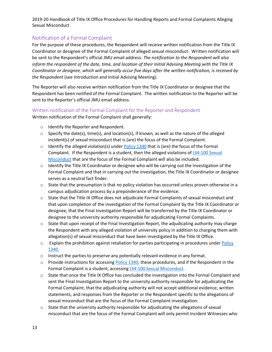## Notification of a Formal Complaint

For the purpose of these procedures, the Respondent will receive written notification from the Title IX Coordinator or designee of the Formal Complaint of alleged sexual misconduct. Written notification will be sent to the Respondent's official JMU email address. *The notification to the Respondent will also inform the respondent of the date, time, and location of their Initial Advising Meeting with the Title IX Coordinator or designee, which will generally occur five days after the written notification, is received by the Respondent* (see Introduction and Initial Advising Meeting).

The Reporter will also receive written notification from the Title IX Coordinator or designee that the Respondent has been notified of the Formal Complaint. The written notification to the Reporter will be sent to the Reporter's official JMU email address.

#### Written notification of the Formal Complaint for the Reporter and Respondent

Written notification of the Formal Complaint shall generally:

- o Identify the Reporter and Respondent.
- $\circ$  Specify the date(s), time(s), and location(s), if known, as well as the nature of the alleged incident(s) of sexual misconduct that is (are) the focus of the Formal Complaint.
- $\circ$  Identify the alleged violation(s) under Policy 1340 that is (are) the focus of the Formal Complaint. If the Respondent is a student, then the alleged violations of J34-100 Sexual Misconduct that are the focus of the Formal Complaint will also be included.
- o Identify the Title IX Coordinator or designee who will be carrying out the Investigation of the Formal Complaint and that in carrying out the investigation, the Title IX Coordinator or designee serves as a neutral fact finder.
- $\circ$  State that the presumption is that no policy violation has occurred unless proven otherwise in a campus adjudication process by a preponderance of the evidence.
- o State that the Title IX Office does not adjudicate Formal Complaints of sexual misconduct and that upon completion of the investigation of the Formal Complaint by the Title IX Coordinator or designee, that the Final Investigation Report will be transferred by the Title IX Coordinator or designee to the university authority responsible for adjudicating Formal Complaints.
- $\circ$  State that upon receipt of the Final Investigation Report, the adjudicating authority may charge the Respondent with any alleged violation of university policy in addition to charging them with allegation(s) of sexual misconduct that have been investigated by the Title IX Office.
- $\circ$  Explain the prohibition against retaliation for parties participating in procedures under Policy 1340.
- o Instruct the parties to preserve any potentially relevant evidence in any format.
- $\circ$  Provide instructions for accessing Policy 1340, these procedures, and if the Respondent in the Formal Complaint is a student, accessing J34-100 Sexual Misconduct.
- o State that once the Title IX Office has concluded the investigation into the Formal Complaint and sent the Final Investigation Report to the university authority responsible for adjudicating the Formal Complaint, that the adjudicating authority will not accept additional evidence, written statements, and responses from the Reporter or the Respondent specific to the allegations of sexual misconduct that are the focus of the Formal Complaint investigation.
- $\circ$  State that the university authority responsible for adjudicating the allegations of sexual misconduct that are the focus of the Formal Complaint will only permit Incident Witnesses who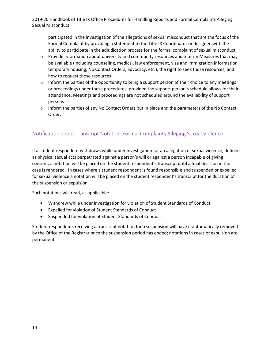participated in the investigation of the allegations of sexual misconduct that are the focus of the Formal Complaint by providing a statement to the Title IX Coordinator or designee with the ability to participate in the adjudication process for the formal complaint of sexual misconduct.

- $\circ$  Provide information about university and community resources and Interim Measures that may be available (including counseling, medical, law enforcement, visa and Immigration information, temporary housing, No Contact Orders, advocacy, etc.), the right to seek those resources, and how to request those resources.
- $\circ$  Inform the parties of the opportunity to bring a support person of their choice to any meetings or proceedings under these procedures, provided the support person's schedule allows for their attendance. Meetings and proceedings are not scheduled around the availability of support persons.
- $\circ$  Inform the parties of any No Contact Orders put in place and the parameters of the No Contact Order.

## Notification about Transcript Notation-Formal Complaints Alleging Sexual Violence

If a student respondent withdraws while under investigation for an allegation of sexual violence, defined as physical sexual acts perpetrated against a person's will or against a person incapable of giving consent, a notation will be placed on the student respondent's transcript until a final decision in the case is rendered. In cases where a student respondent is found responsible and suspended or expelled for sexual violence a notation will be placed on the student respondent's transcript for the duration of the suspension or expulsion.

Such notations will read, as applicable:

- Withdrew while under investigation for violation of Student Standards of Conduct
- Expelled for violation of Student Standards of Conduct
- Suspended for violation of Student Standards of Conduct

Student respondents receiving a transcript notation for a suspension will have it automatically removed by the Office of the Registrar once the suspension period has ended; notations in cases of expulsion are permanent.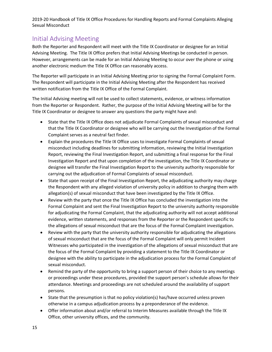# Initial Advising Meeting

Both the Reporter and Respondent will meet with the Title IX Coordinator or designee for an Initial Advising Meeting. The Title IX Office prefers that Initial Advising Meetings be conducted in person. However, arrangements can be made for an Initial Advising Meeting to occur over the phone or using another electronic medium the Title IX Office can reasonably access.

The Reporter will participate in an Initial Advising Meeting prior to signing the Formal Complaint Form. The Respondent will participate in the Initial Advising Meeting after the Respondent has received written notification from the Title IX Office of the Formal Complaint.

The Initial Advising meeting will not be used to collect statements, evidence, or witness information from the Reporter or Respondent. Rather, the purpose of the Initial Advising Meeting will be for the Title IX Coordinator or designee to answer any questions the party might have and:

- State that the Title IX Office does not adjudicate Formal Complaints of sexual misconduct and that the Title IX Coordinator or designee who will be carrying out the Investigation of the Formal Complaint serves as a neutral fact finder.
- Explain the procedures the Title IX Office uses to investigate Formal Complaints of sexual misconduct including deadlines for submitting information, reviewing the Initial Investigation Report, reviewing the Final Investigation Report, and submitting a final response for the Final Investigation Report and that upon completion of the investigation, the Title IX Coordinator or designee will transfer the Final Investigation Report to the university authority responsible for carrying out the adjudication of Formal Complaints of sexual misconduct.
- State that upon receipt of the Final Investigation Report, the adjudicating authority may charge the Respondent with any alleged violation of university policy in addition to charging them with allegation(s) of sexual misconduct that have been investigated by the Title IX Office.
- Review with the party that once the Title IX Office has concluded the investigation into the Formal Complaint and sent the Final Investigation Report to the university authority responsible for adjudicating the Formal Complaint, that the adjudicating authority will not accept additional evidence, written statements, and responses from the Reporter or the Respondent specific to the allegations of sexual misconduct that are the focus of the Formal Complaint investigation.
- Review with the party that the university authority responsible for adjudicating the allegations of sexual misconduct that are the focus of the Formal Complaint will only permit Incident Witnesses who participated in the investigation of the allegations of sexual misconduct that are the focus of the Formal Complaint by providing a statement to the Title IX Coordinator or designee with the ability to participate in the adjudication process for the Formal Complaint of sexual misconduct.
- Remind the party of the opportunity to bring a support person of their choice to any meetings or proceedings under these procedures, provided the support person's schedule allows for their attendance. Meetings and proceedings are not scheduled around the availability of support persons.
- State that the presumption is that no policy violation(s) has/have occurred unless proven otherwise in a campus adjudication process by a preponderance of the evidence.
- Offer information about and/or referral to Interim Measures available through the Title IX Office, other university offices, and the community.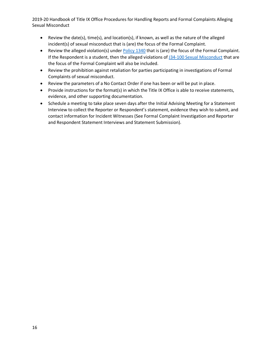- Review the date(s), time(s), and location(s), if known, as well as the nature of the alleged incident(s) of sexual misconduct that is (are) the focus of the Formal Complaint.
- Review the alleged violation(s) under **Policy 1340** that is (are) the focus of the Formal Complaint. If the Respondent is a student, then the alleged violations of J34-100 Sexual Misconduct that are the focus of the Formal Complaint will also be included.
- Review the prohibition against retaliation for parties participating in investigations of Formal Complaints of sexual misconduct.
- Review the parameters of a No Contact Order if one has been or will be put in place.
- Provide instructions for the format(s) in which the Title IX Office is able to receive statements, evidence, and other supporting documentation.
- Schedule a meeting to take place seven days after the Initial Advising Meeting for a Statement Interview to collect the Reporter or Respondent's statement, evidence they wish to submit, and contact information for Incident Witnesses (See Formal Complaint Investigation and Reporter and Respondent Statement Interviews and Statement Submission).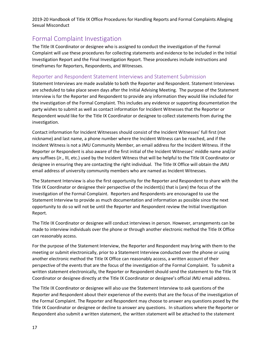# Formal Complaint Investigation

The Title IX Coordinator or designee who is assigned to conduct the investigation of the Formal Complaint will use these procedures for collecting statements and evidence to be included in the Initial Investigation Report and the Final Investigation Report. These procedures include instructions and timeframes for Reporters, Respondents, and Witnesses.

#### Reporter and Respondent Statement Interviews and Statement Submission

Statement Interviews are made available to both the Reporter and Respondent. Statement Interviews are scheduled to take place seven days after the Initial Advising Meeting. The purpose of the Statement Interview is for the Reporter and Respondent to provide any information they would like included for the investigation of the Formal Complaint. This includes any evidence or supporting documentation the party wishes to submit as well as contact information for Incident Witnesses that the Reporter or Respondent would like for the Title IX Coordinator or designee to collect statements from during the investigation.

Contact information for Incident Witnesses should consist of the Incident Witnesses' full first (not nickname) and last name, a phone number where the Incident Witness can be reached, and if the Incident Witness is not a JMU Community Member, an email address for the Incident Witness. If the Reporter or Respondent is also aware of the first initial of the Incident Witnesses' middle name and/or any suffixes (Jr., III, etc.) used by the Incident Witness that will be helpful to the Title IX Coordinator or designee in ensuring they are contacting the right individual. The Title IX Office will obtain the JMU email address of university community members who are named as Incident Witnesses.

The Statement Interview is also the first opportunity for the Reporter and Respondent to share with the Title IX Coordinator or designee their perspective of the incident(s) that is (are) the focus of the investigation of the Formal Complaint. Reporters and Respondents are encouraged to use the Statement Interview to provide as much documentation and information as possible since the next opportunity to do so will not be until the Reporter and Respondent review the Initial Investigation Report.

The Title IX Coordinator or designee will conduct interviews in person. However, arrangements can be made to interview individuals over the phone or through another electronic method the Title IX Office can reasonably access.

For the purpose of the Statement Interview, the Reporter and Respondent may bring with them to the meeting or submit electronically, prior to a Statement Interview conducted over the phone or using another electronic method the Title IX Office can reasonably access, a written account of their perspective of the events that are the focus of the investigation of the Formal Complaint. To submit a written statement electronically, the Reporter or Respondent should send the statement to the Title IX Coordinator or designee directly at the Title IX Coordinator or designee's official JMU email address.

The Title IX Coordinator or designee will also use the Statement Interview to ask questions of the Reporter and Respondent about their experience of the events that are the focus of the investigation of the Formal Complaint. The Reporter and Respondent may choose to answer any questions posed by the Title IX Coordinator or designee or decline to answer any questions. In situations where the Reporter or Respondent also submit a written statement, the written statement will be attached to the statement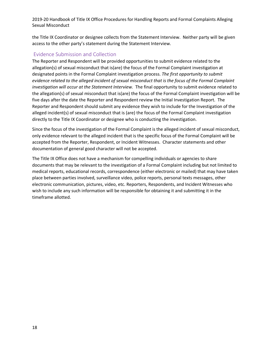the Title IX Coordinator or designee collects from the Statement Interview. Neither party will be given access to the other party's statement during the Statement Interview.

#### Evidence Submission and Collection

The Reporter and Respondent will be provided opportunities to submit evidence related to the allegation(s) of sexual misconduct that is(are) the focus of the Formal Complaint investigation at designated points in the Formal Complaint investigation process. *The first opportunity to submit evidence related to the alleged incident of sexual misconduct that is the focus of the Formal Complaint investigation will occur at the Statement Interview.* The final opportunity to submit evidence related to the allegation(s) of sexual misconduct that is(are) the focus of the Formal Complaint investigation will be five days after the date the Reporter and Respondent review the Initial Investigation Report. The Reporter and Respondent should submit any evidence they wish to include for the Investigation of the alleged incident(s) of sexual misconduct that is (are) the focus of the Formal Complaint investigation directly to the Title IX Coordinator or designee who is conducting the investigation.

Since the focus of the investigation of the Formal Complaint is the alleged incident of sexual misconduct, only evidence relevant to the alleged incident that is the specific focus of the Formal Complaint will be accepted from the Reporter, Respondent, or Incident Witnesses. Character statements and other documentation of general good character will not be accepted.

The Title IX Office does not have a mechanism for compelling individuals or agencies to share documents that may be relevant to the investigation of a Formal Complaint including but not limited to medical reports, educational records, correspondence (either electronic or mailed) that may have taken place between parties involved, surveillance video, police reports, personal texts messages, other electronic communication, pictures, video, etc. Reporters, Respondents, and Incident Witnesses who wish to include any such information will be responsible for obtaining it and submitting it in the timeframe allotted.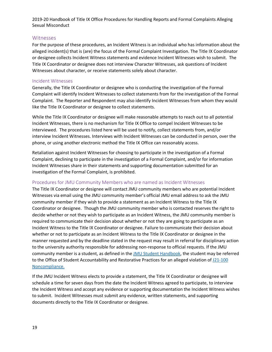#### **Witnesses**

For the purpose of these procedures, an Incident Witness is an individual who has information about the alleged incident(s) that is (are) the focus of the Formal Complaint Investigation. The Title IX Coordinator or designee collects Incident Witness statements and evidence Incident Witnesses wish to submit. The Title IX Coordinator or designee does not interview Character Witnesses, ask questions of Incident Witnesses about character, or receive statements solely about character.

#### Incident Witnesses

Generally, the Title IX Coordinator or designee who is conducting the investigation of the Formal Complaint will identify Incident Witnesses to collect statements from for the investigation of the Formal Complaint. The Reporter and Respondent may also identify Incident Witnesses from whom they would like the Title IX Coordinator or designee to collect statements.

While the Title IX Coordinator or designee will make reasonable attempts to reach out to all potential Incident Witnesses, there is no mechanism for Title IX Office to compel Incident Witnesses to be interviewed. The procedures listed here will be used to notify, collect statements from, and/or interview Incident Witnesses. Interviews with Incident Witnesses can be conducted in person, over the phone, or using another electronic method the Title IX Office can reasonably access.

Retaliation against Incident Witnesses for choosing to participate in the investigation of a Formal Complaint, declining to participate in the investigation of a Formal Complaint, and/or for information Incident Witnesses share in their statements and supporting documentation submitted for an investigation of the Formal Complaint, is prohibited.

#### Procedures for JMU Community Members who are named as Incident Witnesses

The Title IX Coordinator or designee will contact JMU community members who are potential Incident Witnesses via email using the JMU community member's official JMU email address to ask the JMU community member if they wish to provide a statement as an Incident Witness to the Title IX Coordinator or designee. Though the JMU community member who is contacted reserves the right to decide whether or not they wish to participate as an Incident Witness, the JMU community member is required to communicate their decision about whether or not they are going to participate as an Incident Witness to the Title IX Coordinator or designee. Failure to communicate their decision about whether or not to participate as an Incident Witness to the Title IX Coordinator or designee in the manner requested and by the deadline stated in the request may result in referral for disciplinary action to the university authority responsible for addressing non-response to official requests. If the JMU community member is a student, as defined in the JMU Student Handbook, the student may be referred to the Office of Student Accountability and Restorative Practices for an alleged violation of J21-100 Noncompliance.

If the JMU Incident Witness elects to provide a statement, the Title IX Coordinator or designee will schedule a time for seven days from the date the Incident Witness agreed to participate, to interview the Incident Witness and accept any evidence or supporting documentation the Incident Witness wishes to submit. Incident Witnesses must submit any evidence, written statements, and supporting documents directly to the Title IX Coordinator or designee.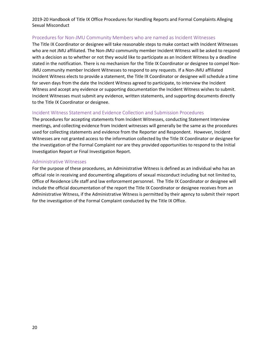#### Procedures for Non-JMU Community Members who are named as Incident Witnesses

The Title IX Coordinator or designee will take reasonable steps to make contact with Incident Witnesses who are not JMU affiliated. The Non-JMU community member Incident Witness will be asked to respond with a decision as to whether or not they would like to participate as an Incident Witness by a deadline stated in the notification. There is no mechanism for the Title IX Coordinator or designee to compel Non-JMU community member Incident Witnesses to respond to any requests. If a Non-JMU affiliated Incident Witness elects to provide a statement, the Title IX Coordinator or designee will schedule a time for seven days from the date the Incident Witness agreed to participate, to interview the Incident Witness and accept any evidence or supporting documentation the Incident Witness wishes to submit. Incident Witnesses must submit any evidence, written statements, and supporting documents directly to the Title IX Coordinator or designee.

#### Incident Witness Statement and Evidence Collection and Submission Procedures

The procedures for accepting statements from Incident Witnesses, conducting Statement Interview meetings, and collecting evidence from Incident witnesses will generally be the same as the procedures used for collecting statements and evidence from the Reporter and Respondent. However, Incident Witnesses are not granted access to the information collected by the Title IX Coordinator or designee for the investigation of the Formal Complaint nor are they provided opportunities to respond to the Initial Investigation Report or Final Investigation Report.

#### Administrative Witnesses

For the purpose of these procedures, an Administrative Witness is defined as an individual who has an official role in receiving and documenting allegations of sexual misconduct including but not limited to, Office of Residence Life staff and law enforcement personnel. The Title IX Coordinator or designee will include the official documentation of the report the Title IX Coordinator or designee receives from an Administrative Witness, if the Administrative Witness is permitted by their agency to submit their report for the investigation of the Formal Complaint conducted by the Title IX Office.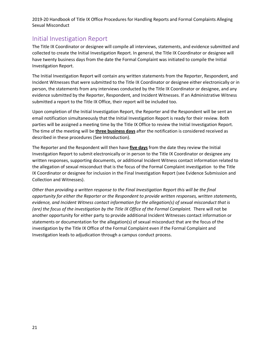# Initial Investigation Report

The Title IX Coordinator or designee will compile all interviews, statements, and evidence submitted and collected to create the Initial Investigation Report. In general, the Title IX Coordinator or designee will have twenty business days from the date the Formal Complaint was initiated to compile the Initial Investigation Report.

The Initial Investigation Report will contain any written statements from the Reporter, Respondent, and Incident Witnesses that were submitted to the Title IX Coordinator or designee either electronically or in person, the statements from any interviews conducted by the Title IX Coordinator or designee, and any evidence submitted by the Reporter, Respondent, and Incident Witnesses. If an Administrative Witness submitted a report to the Title IX Office, their report will be included too.

Upon completion of the Initial Investigation Report, the Reporter and the Respondent will be sent an email notification simultaneously that the Initial Investigation Report is ready for their review. Both parties will be assigned a meeting time by the Title IX Office to review the Initial Investigation Report. The time of the meeting will be **three business days** after the notification is considered received as described in these procedures (See Introduction).

The Reporter and the Respondent will then have **five days** from the date they review the Initial Investigation Report to submit electronically or in person to the Title IX Coordinator or designee any written responses, supporting documents, or additional Incident Witness contact information related to the allegation of sexual misconduct that is the focus of the Formal Complaint investigation to the Title IX Coordinator or designee for inclusion in the Final Investigation Report (see Evidence Submission and Collection and Witnesses).

*Other than providing a written response to the Final Investigation Report this will be the final opportunity for either the Reporter or the Respondent to provide written responses, written statements, evidence, and Incident Witness contact information for the allegation(s) of sexual misconduct that is (are) the focus of the investigation by the Title IX Office of the Formal Complaint.* There will not be another opportunity for either party to provide additional Incident Witnesses contact information or statements or documentation for the allegation(s) of sexual misconduct that are the focus of the investigation by the Title IX Office of the Formal Complaint even if the Formal Complaint and Investigation leads to adjudication through a campus conduct process.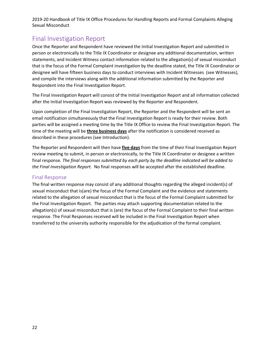# Final Investigation Report

Once the Reporter and Respondent have reviewed the Initial Investigation Report and submitted in person or electronically to the Title IX Coordinator or designee any additional documentation, written statements, and Incident Witness contact information related to the allegation(s) of sexual misconduct that is the focus of the Formal Complaint investigation by the deadline stated, the Title IX Coordinator or designee will have fifteen business days to conduct interviews with Incident Witnesses (see Witnesses), and compile the interviews along with the additional information submitted by the Reporter and Respondent into the Final Investigation Report.

The Final Investigation Report will consist of the Initial Investigation Report and all information collected after the Initial Investigation Report was reviewed by the Reporter and Respondent.

Upon completion of the Final Investigation Report, the Reporter and the Respondent will be sent an email notification simultaneously that the Final Investigation Report is ready for their review. Both parties will be assigned a meeting time by the Title IX Office to review the Final Investigation Report. The time of the meeting will be **three business days** after the notification is considered received as described in these procedures (see Introduction).

The Reporter and Respondent will then have **five days** from the time of their Final Investigation Report review meeting to submit, in person or electronically, to the Title IX Coordinator or designee a written final response. *The final responses submitted by each party by the deadline indicated will be added to the Final Investigation Report.* No final responses will be accepted after the established deadline.

#### Final Response

The final written response may consist of any additional thoughts regarding the alleged incident(s) of sexual misconduct that is(are) the focus of the Formal Complaint and the evidence and statements related to the allegation of sexual misconduct that is the focus of the Formal Complaint submitted for the Final Investigation Report. The parties may attach supporting documentation related to the allegation(s) of sexual misconduct that is (are) the focus of the Formal Complaint to their final written response. The Final Responses received will be included in the Final Investigation Report when transferred to the university authority responsible for the adjudication of the formal complaint.